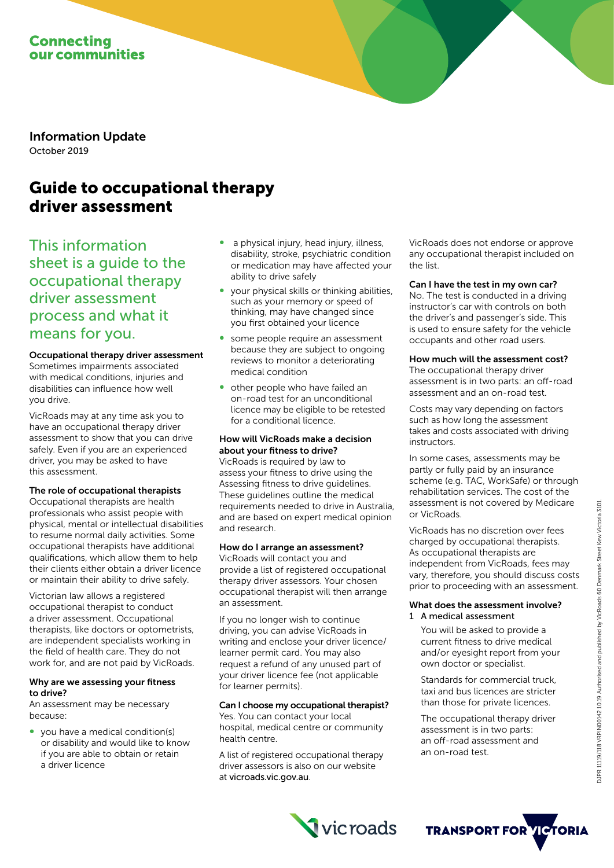## **Connecting** our communities

Information Update October 2019

# Guide to occupational therapy driver assessment

This information sheet is a guide to the occupational therapy driver assessment process and what it means for you.

### Occupational therapy driver assessment

Sometimes impairments associated with medical conditions, injuries and disabilities can influence how well you drive.

VicRoads may at any time ask you to have an occupational therapy driver assessment to show that you can drive safely. Even if you are an experienced driver, you may be asked to have this assessment.

#### The role of occupational therapists

Occupational therapists are health professionals who assist people with physical, mental or intellectual disabilities to resume normal daily activities. Some occupational therapists have additional qualifications, which allow them to help their clients either obtain a driver licence or maintain their ability to drive safely.

Victorian law allows a registered occupational therapist to conduct a driver assessment. Occupational therapists, like doctors or optometrists, are independent specialists working in the field of health care. They do not work for, and are not paid by VicRoads.

#### Why are we assessing your fitness to drive?

An assessment may be necessary because:

● you have a medical condition(s) or disability and would like to know if you are able to obtain or retain a driver licence

- a physical injury, head injury, illness, disability, stroke, psychiatric condition or medication may have affected your ability to drive safely
- your physical skills or thinking abilities, such as your memory or speed of thinking, may have changed since you first obtained your licence
- some people require an assessment because they are subject to ongoing reviews to monitor a deteriorating medical condition
- other people who have failed an on-road test for an unconditional licence may be eligible to be retested for a conditional licence.

#### How will VicRoads make a decision about your fitness to drive?

VicRoads is required by law to assess your fitness to drive using the Assessing fitness to drive guidelines. These guidelines outline the medical requirements needed to drive in Australia, and are based on expert medical opinion and research.

#### How do I arrange an assessment?

VicRoads will contact you and provide a list of registered occupational therapy driver assessors. Your chosen occupational therapist will then arrange an assessment.

If you no longer wish to continue driving, you can advise VicRoads in writing and enclose your driver licence/ learner permit card. You may also request a refund of any unused part of your driver licence fee (not applicable for learner permits).

#### Can I choose my occupational therapist?

Yes. You can contact your local hospital, medical centre or community health centre.

A list of registered occupational therapy driver assessors is also on our website at vicroads.vic.gov.au.

VicRoads does not endorse or approve any occupational therapist included on the list.

#### Can I have the test in my own car?

No. The test is conducted in a driving instructor's car with controls on both the driver's and passenger's side. This is used to ensure safety for the vehicle occupants and other road users.

#### How much will the assessment cost?

The occupational therapy driver assessment is in two parts: an off-road assessment and an on-road test.

Costs may vary depending on factors such as how long the assessment takes and costs associated with driving instructors.

In some cases, assessments may be partly or fully paid by an insurance scheme (e.g. TAC, WorkSafe) or through rehabilitation services. The cost of the assessment is not covered by Medicare or VicRoads.

VicRoads has no discretion over fees charged by occupational therapists. As occupational therapists are independent from VicRoads, fees may vary, therefore, you should discuss costs prior to proceeding with an assessment.

#### What does the assessment involve? 1 A medical assessment

You will be asked to provide a current fitness to drive medical and/or eyesight report from your own doctor or specialist.

Standards for commercial truck, taxi and bus licences are stricter than those for private licences.

The occupational therapy driver assessment is in two parts: an off-road assessment and an on-road test.